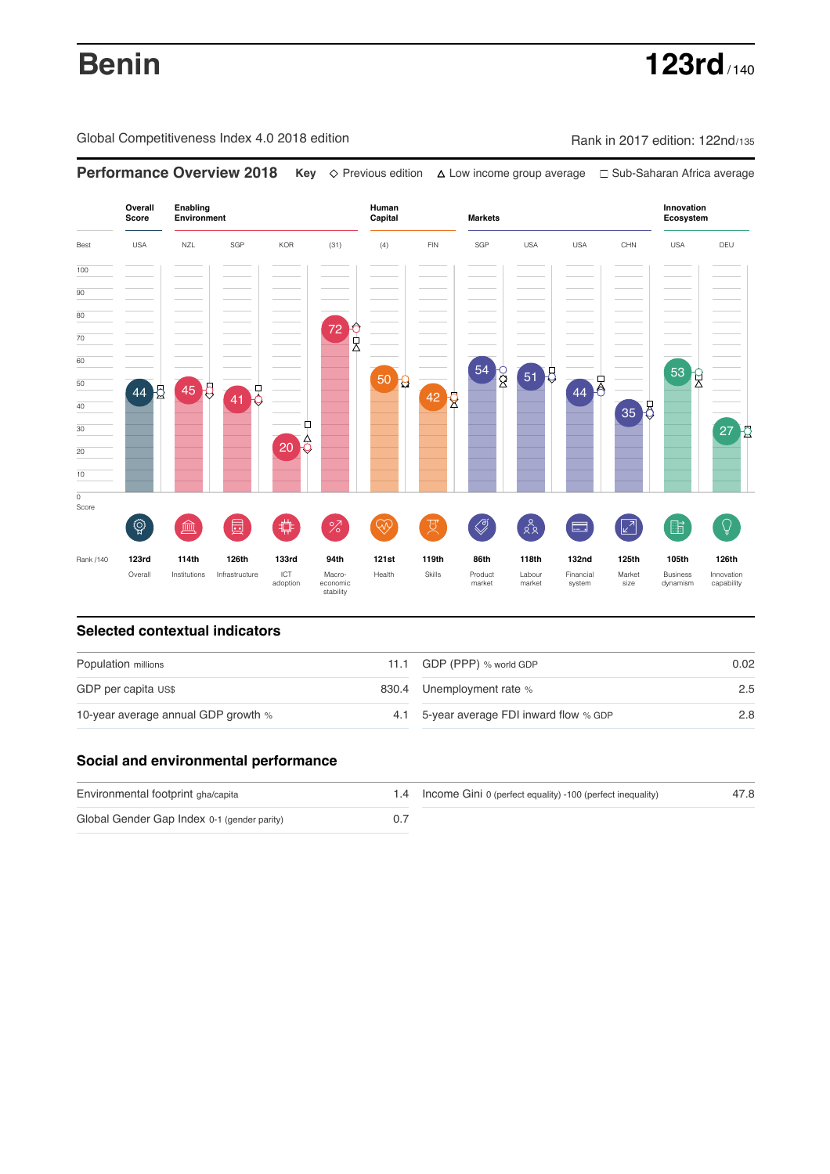**Benin 123rd** / 140

Global Competitiveness Index 4.0 2018 edition Rank in 2017 edition: 122nd/135

**Overall Innovation Enabling Environment Human Capital Markets Score Ecosystem** Best USA NZL SGP KOR (31) (4) FIN SGP USA USA CHN USA DEU 100  $\overline{90}$ 80 72 <mark>승</mark><br>시 只 70 60  $\begin{array}{c} 54 \\ 8 \end{array}$ 51 5 53 g 50 **g** 44 50 44 5 45 8 41 0 42 R 40 35 8 Ò 30  $27<sup>1</sup>$  $20<sup>4</sup>$ 20 10  $\overline{\text{o}}$ Score ♦ ៍{៌្ម}  $\overline{\mathcal{S}}$  $88$ **ledge (** 茴  $\circledcirc$  ( ਸ਼ੁ 击  $\sqrt{2}$ 脂 局 °Z Rank /140 **123rd 114th 126th 133rd 94th 121st 119th 86th 118th 132nd 125th 105th 126th** Overall Institutions Infrastructure ICT<br>adoption adoption Macro- economic stability Health Skills Product market Labour<br>market Financial system Market size Business dynamism Innovation capability

**Performance Overview 2018 Key** Previous edition Low income group average Sub-Saharan Africa average

### **Selected contextual indicators**

| Population millions                 | 11.1 GDP (PPP) % world GDP               | 0.02             |  |
|-------------------------------------|------------------------------------------|------------------|--|
| GDP per capita US\$                 | 830.4 Unemployment rate %                | $2.5\phantom{0}$ |  |
| 10-year average annual GDP growth % | 4.1 5-year average FDI inward flow % GDP | 2.8              |  |

## **Social and environmental performance**

| Environmental footprint gha/capita          | 1.4 Income Gini 0 (perfect equality) -100 (perfect inequality) | 47.8 |
|---------------------------------------------|----------------------------------------------------------------|------|
| Global Gender Gap Index 0-1 (gender parity) |                                                                |      |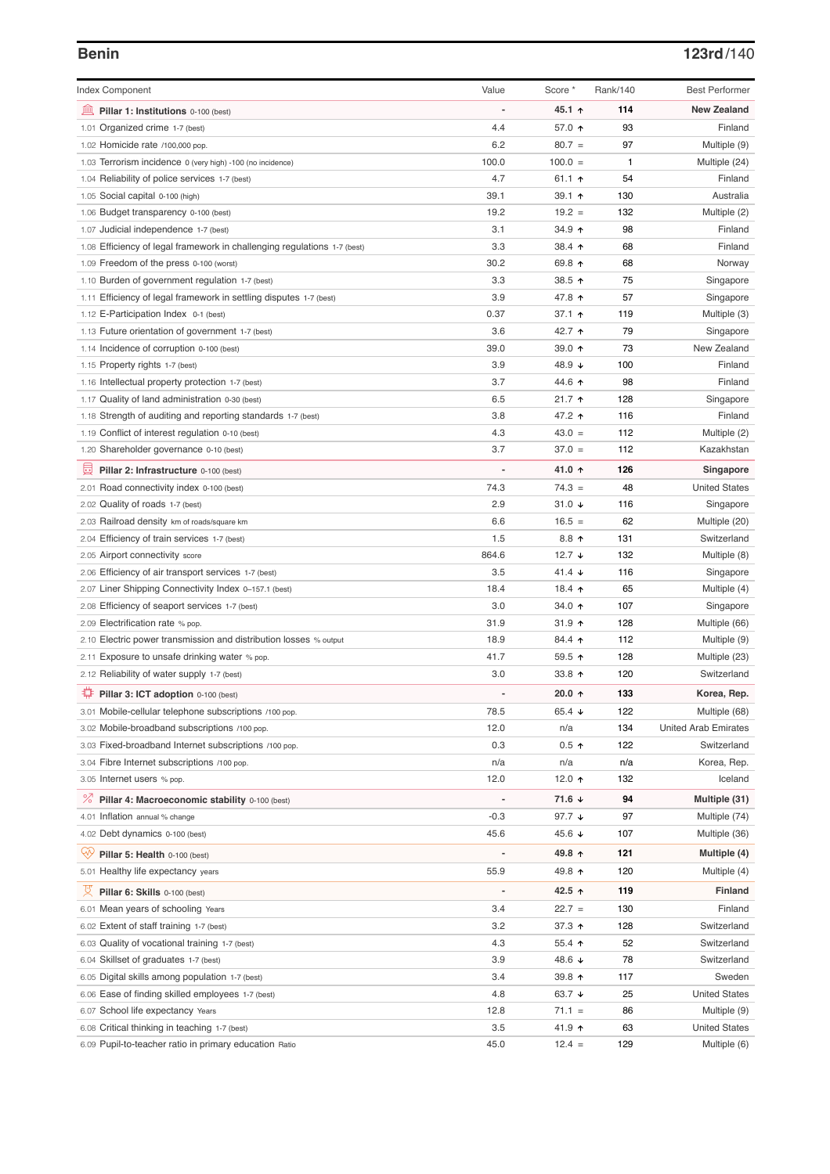# **Benin 123rd**/140

| <b>Index Component</b>                                                    | Value  | Score *           | Rank/140     | <b>Best Performer</b>       |
|---------------------------------------------------------------------------|--------|-------------------|--------------|-----------------------------|
| 無<br>Pillar 1: Institutions 0-100 (best)                                  |        | 45.1 ↑            | 114          | <b>New Zealand</b>          |
| 1.01 Organized crime 1-7 (best)                                           | 4.4    | 57.0 ↑            | 93           | Finland                     |
| 1.02 Homicide rate /100,000 pop.                                          | 6.2    | $80.7 =$          | 97           |                             |
|                                                                           | 100.0  | $100.0 =$         | $\mathbf{1}$ | Multiple (9)                |
| 1.03 Terrorism incidence 0 (very high) -100 (no incidence)                | 4.7    |                   | 54           | Multiple (24)               |
| 1.04 Reliability of police services 1-7 (best)                            |        | 61.1 $\uparrow$   |              | Finland                     |
| 1.05 Social capital 0-100 (high)                                          | 39.1   | 39.1 $\uparrow$   | 130          | Australia                   |
| 1.06 Budget transparency 0-100 (best)                                     | 19.2   | $19.2 =$          | 132          | Multiple (2)                |
| 1.07 Judicial independence 1-7 (best)                                     | 3.1    | 34.9 ↑            | 98           | Finland                     |
| 1.08 Efficiency of legal framework in challenging regulations 1-7 (best)  | 3.3    | 38.4 ↑            | 68           | Finland                     |
| 1.09 Freedom of the press 0-100 (worst)                                   | 30.2   | 69.8 ↑            | 68           | Norway                      |
| 1.10 Burden of government regulation 1-7 (best)                           | 3.3    | 38.5 个            | 75           | Singapore                   |
| 1.11 Efficiency of legal framework in settling disputes 1-7 (best)        | 3.9    | 47.8 ↑            | 57           | Singapore                   |
| 1.12 E-Participation Index 0-1 (best)                                     | 0.37   | 37.1 $\uparrow$   | 119          | Multiple (3)                |
| 1.13 Future orientation of government 1-7 (best)                          | 3.6    | 42.7 ↑            | 79           | Singapore                   |
| 1.14 Incidence of corruption 0-100 (best)                                 | 39.0   | 39.0 $\uparrow$   | 73           | New Zealand                 |
| 1.15 Property rights 1-7 (best)                                           | 3.9    | 48.9 ↓            | 100          | Finland                     |
| 1.16 Intellectual property protection 1-7 (best)                          | 3.7    | 44.6 ↑            | 98           | Finland                     |
| 1.17 Quality of land administration 0-30 (best)                           | 6.5    | $21.7$ ↑          | 128          | Singapore                   |
| 1.18 Strength of auditing and reporting standards 1-7 (best)              | 3.8    | 47.2 ↑            | 116          | Finland                     |
| 1.19 Conflict of interest regulation 0-10 (best)                          | 4.3    | $43.0 =$          | 112          | Multiple (2)                |
| 1.20 Shareholder governance 0-10 (best)                                   | 3.7    | $37.0 =$          | 112          | Kazakhstan                  |
| 圓<br>Pillar 2: Infrastructure 0-100 (best)                                |        | 41.0 ↑            | 126          | Singapore                   |
| 2.01 Road connectivity index 0-100 (best)                                 | 74.3   | $74.3 =$          | 48           | <b>United States</b>        |
| 2.02 Quality of roads 1-7 (best)                                          | 2.9    | 31.0 $\sqrt{ }$   | 116          | Singapore                   |
| 2.03 Railroad density km of roads/square km                               | 6.6    | $16.5 =$          | 62           | Multiple (20)               |
| 2.04 Efficiency of train services 1-7 (best)                              | 1.5    | $8.8$ ↑           | 131          | Switzerland                 |
| 2.05 Airport connectivity score                                           | 864.6  | 12.7 $\sqrt{ }$   | 132          | Multiple (8)                |
| 2.06 Efficiency of air transport services 1-7 (best)                      | 3.5    | 41.4 $\sqrt{ }$   | 116          | Singapore                   |
| 2.07 Liner Shipping Connectivity Index 0-157.1 (best)                     | 18.4   | 18.4 ተ            | 65           | Multiple (4)                |
| 2.08 Efficiency of seaport services 1-7 (best)                            | 3.0    | 34.0 ↑            | 107          | Singapore                   |
| 2.09 Electrification rate % pop.                                          | 31.9   | 31.9 $\uparrow$   | 128          | Multiple (66)               |
| 2.10 Electric power transmission and distribution losses % output         | 18.9   | $84.4$ ↑          | 112          | Multiple (9)                |
| 2.11 Exposure to unsafe drinking water % pop.                             | 41.7   | 59.5 $\uparrow$   | 128          | Multiple (23)               |
| 2.12 Reliability of water supply 1-7 (best)                               | 3.0    | 33.8 $\uparrow$   | 120          | Switzerland                 |
| ₽<br>Pillar 3: ICT adoption 0-100 (best)                                  |        | 20.0 $\uparrow$   | 133          | Korea, Rep.                 |
| 3.01 Mobile-cellular telephone subscriptions /100 pop.                    | 78.5   | 65.4 $\sqrt{ }$   | 122          | Multiple (68)               |
| 3.02 Mobile-broadband subscriptions /100 pop.                             | 12.0   | n/a               | 134          | <b>United Arab Emirates</b> |
| 3.03 Fixed-broadband Internet subscriptions /100 pop.                     | 0.3    | $0.5$ ↑           | 122          | Switzerland                 |
|                                                                           | n/a    | n/a               | n/a          |                             |
| 3.04 Fibre Internet subscriptions /100 pop.<br>3.05 Internet users % pop. | 12.0   | 12.0 $\uparrow$   | 132          | Korea, Rep.<br>Iceland      |
|                                                                           |        |                   |              |                             |
| <sup>%</sup> Pillar 4: Macroeconomic stability 0-100 (best)               |        | 71.6 ↓            | 94           | Multiple (31)               |
| 4.01 Inflation annual % change                                            | $-0.3$ | 97.7 $\downarrow$ | 97           | Multiple (74)               |
| 4.02 Debt dynamics 0-100 (best)                                           | 45.6   | 45.6 ↓            | 107          | Multiple (36)               |
| Qv<br>Pillar 5: Health 0-100 (best)                                       |        | 49.8 ↑            | 121          | Multiple (4)                |
| 5.01 Healthy life expectancy years                                        | 55.9   | 49.8 ↑            | 120          | Multiple (4)                |
| 섯<br>Pillar 6: Skills 0-100 (best)                                        |        | 42.5 ↑            | 119          | <b>Finland</b>              |
| 6.01 Mean years of schooling Years                                        | 3.4    | $22.7 =$          | 130          | Finland                     |
| 6.02 Extent of staff training 1-7 (best)                                  | 3.2    | 37.3 ↑            | 128          | Switzerland                 |
| 6.03 Quality of vocational training 1-7 (best)                            | 4.3    | 55.4 $\uparrow$   | 52           | Switzerland                 |
| Skillset of graduates 1-7 (best)<br>6.04                                  | 3.9    | 48.6 ↓            | 78           | Switzerland                 |
| 6.05 Digital skills among population 1-7 (best)                           | 3.4    | 39.8 个            | 117          | Sweden                      |
| Ease of finding skilled employees 1-7 (best)<br>6.06                      | 4.8    | 63.7 $\sqrt{ }$   | 25           | <b>United States</b>        |
| 6.07 School life expectancy Years                                         | 12.8   | $71.1 =$          | 86           | Multiple (9)                |
| 6.08 Critical thinking in teaching 1-7 (best)                             | 3.5    | 41.9 ↑            | 63           | <b>United States</b>        |
| 6.09 Pupil-to-teacher ratio in primary education Ratio                    | 45.0   | $12.4 =$          | 129          | Multiple (6)                |